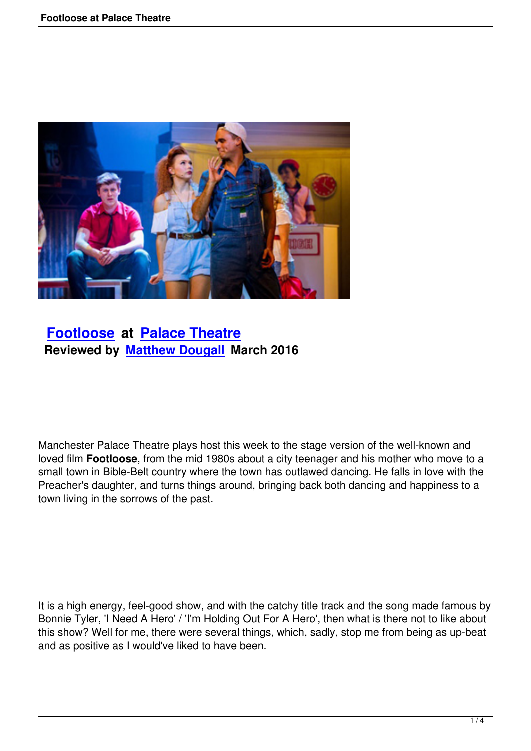

## **Footloose at Palace Theatre Reviewed by Matthew Dougall March 2016**

Manchester Palace Theatre plays host this week to the stage version of the well-known and loved film **Footloose**, from the mid 1980s about a city teenager and his mother who move to a small town in Bible-Belt country where the town has outlawed dancing. He falls in love with the Preacher's daughter, and turns things around, bringing back both dancing and happiness to a town living in the sorrows of the past.

It is a high energy, feel-good show, and with the catchy title track and the song made famous by Bonnie Tyler, 'I Need A Hero' / 'I'm Holding Out For A Hero', then what is there not to like about this show? Well for me, there were several things, which, sadly, stop me from being as up-beat and as positive as I would've liked to have been.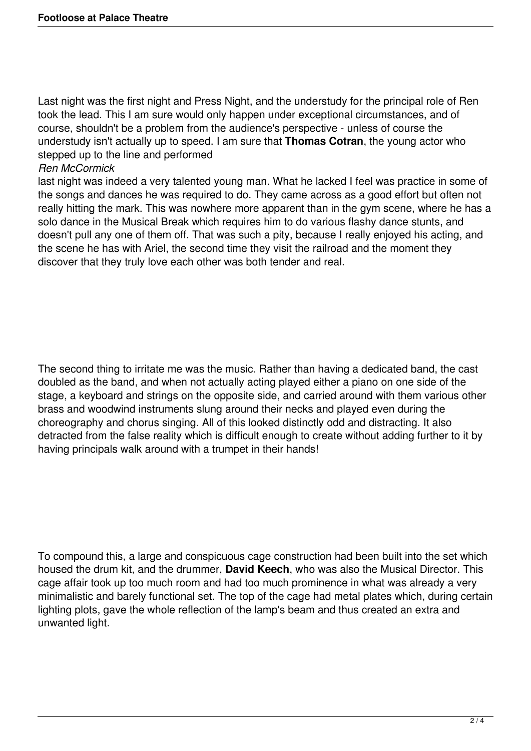Last night was the first night and Press Night, and the understudy for the principal role of Ren took the lead. This I am sure would only happen under exceptional circumstances, and of course, shouldn't be a problem from the audience's perspective - unless of course the understudy isn't actually up to speed. I am sure that **Thomas Cotran**, the young actor who stepped up to the line and performed

## *Ren McCormick*

last night was indeed a very talented young man. What he lacked I feel was practice in some of the songs and dances he was required to do. They came across as a good effort but often not really hitting the mark. This was nowhere more apparent than in the gym scene, where he has a solo dance in the Musical Break which requires him to do various flashy dance stunts, and doesn't pull any one of them off. That was such a pity, because I really enjoyed his acting, and the scene he has with Ariel, the second time they visit the railroad and the moment they discover that they truly love each other was both tender and real.

The second thing to irritate me was the music. Rather than having a dedicated band, the cast doubled as the band, and when not actually acting played either a piano on one side of the stage, a keyboard and strings on the opposite side, and carried around with them various other brass and woodwind instruments slung around their necks and played even during the choreography and chorus singing. All of this looked distinctly odd and distracting. It also detracted from the false reality which is difficult enough to create without adding further to it by having principals walk around with a trumpet in their hands!

To compound this, a large and conspicuous cage construction had been built into the set which housed the drum kit, and the drummer, **David Keech**, who was also the Musical Director. This cage affair took up too much room and had too much prominence in what was already a very minimalistic and barely functional set. The top of the cage had metal plates which, during certain lighting plots, gave the whole reflection of the lamp's beam and thus created an extra and unwanted light.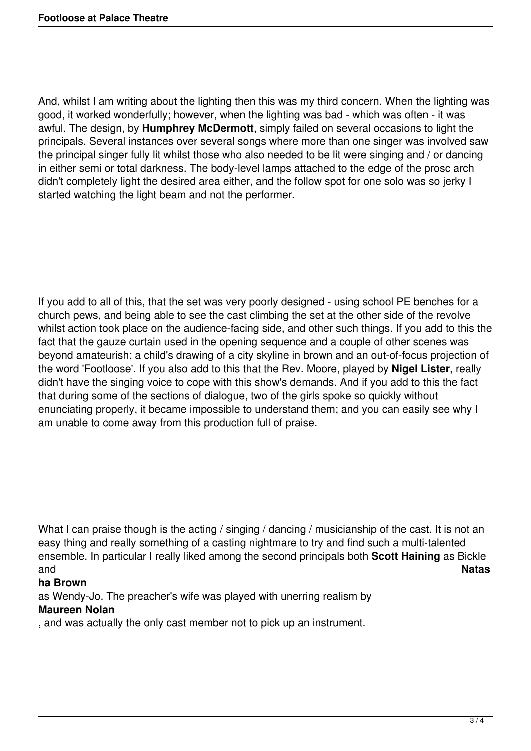And, whilst I am writing about the lighting then this was my third concern. When the lighting was good, it worked wonderfully; however, when the lighting was bad - which was often - it was awful. The design, by **Humphrey McDermott**, simply failed on several occasions to light the principals. Several instances over several songs where more than one singer was involved saw the principal singer fully lit whilst those who also needed to be lit were singing and / or dancing in either semi or total darkness. The body-level lamps attached to the edge of the prosc arch didn't completely light the desired area either, and the follow spot for one solo was so jerky I started watching the light beam and not the performer.

If you add to all of this, that the set was very poorly designed - using school PE benches for a church pews, and being able to see the cast climbing the set at the other side of the revolve whilst action took place on the audience-facing side, and other such things. If you add to this the fact that the gauze curtain used in the opening sequence and a couple of other scenes was beyond amateurish; a child's drawing of a city skyline in brown and an out-of-focus projection of the word 'Footloose'. If you also add to this that the Rev. Moore, played by **Nigel Lister**, really didn't have the singing voice to cope with this show's demands. And if you add to this the fact that during some of the sections of dialogue, two of the girls spoke so quickly without enunciating properly, it became impossible to understand them; and you can easily see why I am unable to come away from this production full of praise.

What I can praise though is the acting / singing / dancing / musicianship of the cast. It is not an easy thing and really something of a casting nightmare to try and find such a multi-talented ensemble. In particular I really liked among the second principals both **Scott Haining** as Bickle and **Natas**

## **ha Brown**

as Wendy-Jo. The preacher's wife was played with unerring realism by **Maureen Nolan**

## , and was actually the only cast member not to pick up an instrument.